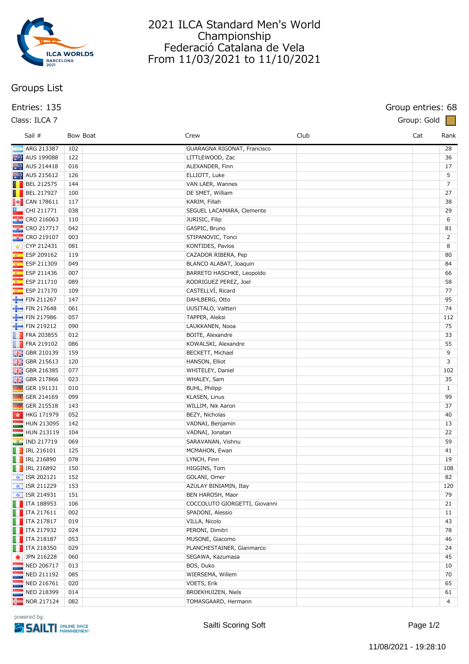

## **Groups List**

### **Class: ILCA 7 Group: Gold**

# 2021 ILCA Standard Men's World Championship Federació Catalana de Vela From 11/03/2021 to 11/10/2021

## **Entries: 135 Group entries: 68**

|          | Sail #                                                         |     | Bow Boat | Crew                          | Club | Cat | Rank           |
|----------|----------------------------------------------------------------|-----|----------|-------------------------------|------|-----|----------------|
|          | ARG 213387                                                     | 102 |          | GUARAGNA RIGONAT, Francisco   |      |     | 28             |
|          | AUS 199088                                                     | 122 |          | LITTLEWOOD, Zac               |      |     | 36             |
|          | AUS 214418                                                     | 016 |          | ALEXANDER, Finn               |      |     | 17             |
|          | AUS 215612                                                     | 126 |          | ELLIOTT, Luke                 |      |     | 5              |
|          | $\blacksquare$ BEL 212575                                      | 144 |          | VAN LAER, Wannes              |      |     | $\overline{7}$ |
|          | $\blacksquare$ BEL 217927                                      | 100 |          | DE SMET, William              |      |     | 27             |
|          |                                                                | 117 |          | KARIM, Fillah                 |      |     | 38             |
|          | $\Box$ CHI 211771                                              | 038 |          | SEGUEL LACAMARA, Clemente     |      |     | 29             |
|          | <b>EXECUTE CRO 216063</b>                                      | 110 |          | JURISIC, Filip                |      |     | 6              |
|          | $\frac{1}{2}$ CRO 217717                                       | 042 |          | GASPIC, Bruno                 |      |     | 81             |
|          | <b>&amp;</b> CRO 219107                                        | 003 |          | STIPANOVIC, Tonci             |      |     | $\overline{2}$ |
| ₩        | CYP 212431                                                     | 081 |          | KONTIDES, Pavlos              |      |     | 8              |
|          | ESP 209162                                                     | 119 |          | CAZADOR RIBERA, Pep           |      |     | 80             |
|          | ESP 211309                                                     | 049 |          | BLANCO ALABAT, Joaquin        |      |     | 84             |
|          | ESP 211436                                                     | 007 |          | BARRETO HASCHKE, Leopoldo     |      |     | 66             |
| <b>K</b> | ESP 211710                                                     | 089 |          | RODRIGUEZ PEREZ, Joel         |      |     | 58             |
|          | <b>ESP 217170</b>                                              | 109 |          | CASTELLVÍ, Ricard             |      |     | 77             |
|          | FIN 211267                                                     | 147 |          | DAHLBERG, Otto                |      |     | 95             |
|          | FIN 217648                                                     | 061 |          | UUSITALO, Valtteri            |      |     | 74             |
|          | FIN 217986                                                     | 057 |          | TAPPER, Aleksi                |      |     | 112            |
|          | FIN 219212                                                     | 090 |          | LAUKKANEN, Nooa               |      |     | 75             |
|          | <b>FRA 203855</b>                                              | 012 |          | BOITE, Alexandre              |      |     | 33             |
|          | $\Box$ FRA 219102                                              | 086 |          | KOWALSKI, Alexandre           |      |     | 55             |
|          | GBR 210139                                                     | 159 |          | BECKETT, Michael              |      |     | 9              |
|          | <b>H</b> GBR 215613                                            | 120 |          | HANSON, Elliot                |      |     | 3              |
|          | <b>HE</b> GBR 216385                                           | 077 |          | WHITELEY, Daniel              |      |     | 102            |
|          | GBR 217866                                                     | 023 |          | WHALEY, Sam                   |      |     | 35             |
|          | GER 191131                                                     | 010 |          | BUHL, Philipp                 |      |     | $\mathbf{1}$   |
|          | GER 214169                                                     | 099 |          | KLASEN, Linus                 |      |     | 99             |
|          | GER 215518                                                     | 143 |          | WILLIM, Nik Aaron             |      |     | 37             |
|          | ■ HKG 171979                                                   | 052 |          | BEZY, Nicholas                |      |     | 40             |
|          | HUN 213095                                                     | 142 |          | VADNAI, Benjamin              |      |     | 13             |
|          | HUN 213119                                                     | 104 |          | VADNAI, Jonatan               |      |     | 22             |
|          | <b>DE IND 217719</b>                                           | 069 |          | SARAVANAN, Vishnu             |      |     | 59             |
|          | <b>F</b> IRL 216101                                            | 125 |          | MCMAHON, Ewan                 |      |     | 41             |
|          | <b>F</b> IRL 216890                                            | 078 |          | LYNCH, Finn                   |      |     | 19             |
|          | $\blacksquare$ IRL 216892                                      | 150 |          | HIGGINS, Tom                  |      |     | 108            |
|          | $\left  \right $ ISR 202121                                    | 152 |          | GOLANI, Omer                  |      |     | 82             |
|          | $\boxed{\div}$ ISR 211229                                      | 153 |          | AZULAY BINIAMIN, Itay         |      |     | 120            |
|          | $\frac{1}{2}$ ISR 214931                                       | 151 |          | BEN HAROSH, Maor              |      |     | 79             |
|          | $\begin{array}{ c c }\n\hline\n\hline\n\end{array}$ ITA 188953 | 106 |          | COCCOLUTO GIORGETTI, Giovanni |      |     | 21             |
|          | $\blacksquare$ ITA 217611                                      | 002 |          | SPADONI, Alessio              |      |     | 11             |
|          | $\blacksquare$ ITA 217817                                      | 019 |          | VILLA, Nicolo                 |      |     | 43             |
|          | $\blacksquare$ ITA 217932                                      | 024 |          | PERONI, Dimitri               |      |     | 78             |
|          | $\blacksquare$ ITA 218187                                      | 053 |          | MUSONE, Giacomo               |      |     | 46             |
|          | $\blacksquare$ ITA 218350                                      | 029 |          | PLANCHESTAINER, Gianmarco     |      |     | 24             |
| ٠        | JPN 216228                                                     | 060 |          | SEGAWA, Kazumasa              |      |     | 45             |
|          | NED 206717                                                     | 013 |          | BOS, Duko                     |      |     | 10             |
|          | NED 211192                                                     | 085 |          | WIERSEMA, Willem              |      |     | 70             |
|          | NED 216761                                                     | 020 |          | VOETS, Erik                   |      |     | 65             |
|          | NED 218399                                                     | 014 |          | BROEKHUIZEN, Niels            |      |     | 61             |
|          | $\frac{1}{2}$ NOR 217124                                       | 082 |          | TOMASGAARD, Hermann           |      |     | 4              |
|          |                                                                |     |          |                               |      |     |                |